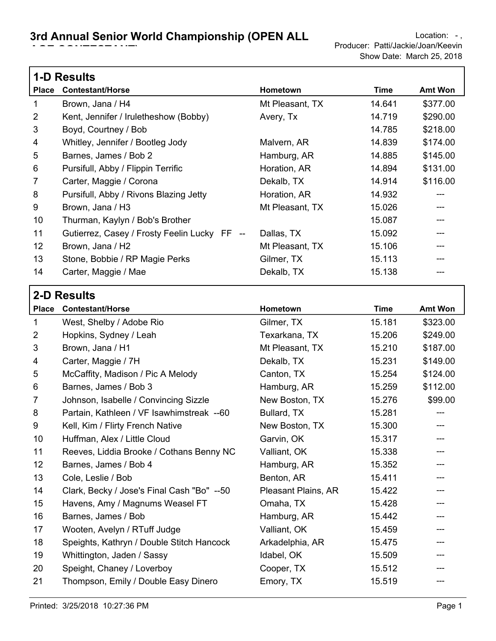Г

| <b>1-D Results</b> |                                              |                 |        |                |  |
|--------------------|----------------------------------------------|-----------------|--------|----------------|--|
| <b>Place</b>       | <b>Contestant/Horse</b>                      | Hometown        | Time   | <b>Amt Won</b> |  |
| 1                  | Brown, Jana / H4                             | Mt Pleasant, TX | 14.641 | \$377.00       |  |
| 2                  | Kent, Jennifer / Iruletheshow (Bobby)        | Avery, Tx       | 14.719 | \$290.00       |  |
| 3                  | Boyd, Courtney / Bob                         |                 | 14.785 | \$218.00       |  |
| 4                  | Whitley, Jennifer / Bootleg Jody             | Malvern, AR     | 14.839 | \$174.00       |  |
| 5                  | Barnes, James / Bob 2                        | Hamburg, AR     | 14.885 | \$145.00       |  |
| 6                  | Pursifull, Abby / Flippin Terrific           | Horation, AR    | 14.894 | \$131.00       |  |
| $\overline{7}$     | Carter, Maggie / Corona                      | Dekalb, TX      | 14.914 | \$116.00       |  |
| 8                  | Pursifull, Abby / Rivons Blazing Jetty       | Horation, AR    | 14.932 | ---            |  |
| 9                  | Brown, Jana / H3                             | Mt Pleasant, TX | 15.026 |                |  |
| 10                 | Thurman, Kaylyn / Bob's Brother              |                 | 15.087 |                |  |
| 11                 | Gutierrez, Casey / Frosty Feelin Lucky FF -- | Dallas, TX      | 15.092 |                |  |
| 12                 | Brown, Jana / H2                             | Mt Pleasant, TX | 15.106 |                |  |
| 13                 | Stone, Bobbie / RP Magie Perks               | Gilmer, TX      | 15.113 |                |  |
| 14                 | Carter, Maggie / Mae                         | Dekalb, TX      | 15.138 |                |  |

| <b>2-D Results</b> |                                            |                     |             |                |
|--------------------|--------------------------------------------|---------------------|-------------|----------------|
|                    | Place Contestant/Horse                     | Hometown            | <b>Time</b> | <b>Amt Won</b> |
| 1                  | West, Shelby / Adobe Rio                   | Gilmer, TX          | 15.181      | \$323.00       |
| $\overline{2}$     | Hopkins, Sydney / Leah                     | Texarkana, TX       | 15.206      | \$249.00       |
| 3                  | Brown, Jana / H1                           | Mt Pleasant, TX     | 15.210      | \$187.00       |
| 4                  | Carter, Maggie / 7H                        | Dekalb, TX          | 15.231      | \$149.00       |
| 5                  | McCaffity, Madison / Pic A Melody          | Canton, TX          | 15.254      | \$124.00       |
| 6                  | Barnes, James / Bob 3                      | Hamburg, AR         | 15.259      | \$112.00       |
| $\overline{7}$     | Johnson, Isabelle / Convincing Sizzle      | New Boston, TX      | 15.276      | \$99.00        |
| 8                  | Partain, Kathleen / VF Isawhimstreak --60  | Bullard, TX         | 15.281      |                |
| 9                  | Kell, Kim / Flirty French Native           | New Boston, TX      | 15.300      |                |
| 10                 | Huffman, Alex / Little Cloud               | Garvin, OK          | 15.317      |                |
| 11                 | Reeves, Liddia Brooke / Cothans Benny NC   | Valliant, OK        | 15.338      |                |
| 12                 | Barnes, James / Bob 4                      | Hamburg, AR         | 15.352      |                |
| 13                 | Cole, Leslie / Bob                         | Benton, AR          | 15.411      |                |
| 14                 | Clark, Becky / Jose's Final Cash "Bo" --50 | Pleasant Plains, AR | 15.422      |                |
| 15                 | Havens, Amy / Magnums Weasel FT            | Omaha, TX           | 15.428      |                |
| 16                 | Barnes, James / Bob                        | Hamburg, AR         | 15.442      |                |
| 17                 | Wooten, Avelyn / RTuff Judge               | Valliant, OK        | 15.459      |                |
| 18                 | Speights, Kathryn / Double Stitch Hancock  | Arkadelphia, AR     | 15.475      |                |
| 19                 | Whittington, Jaden / Sassy                 | Idabel, OK          | 15.509      |                |
| 20                 | Speight, Chaney / Loverboy                 | Cooper, TX          | 15.512      |                |
| 21                 | Thompson, Emily / Double Easy Dinero       | Emory, TX           | 15.519      |                |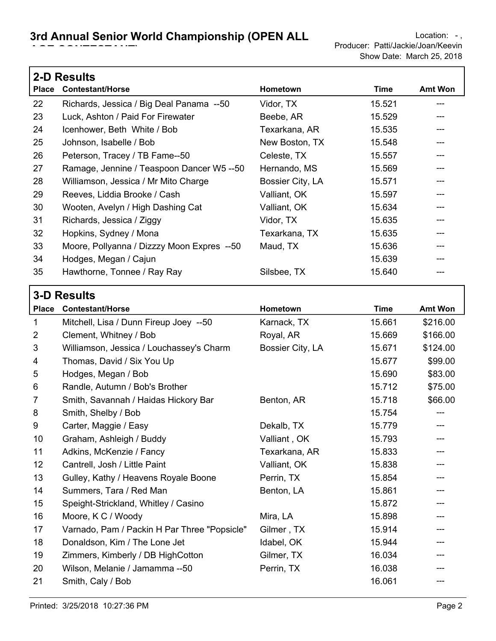|              | <b>2-D Results</b>                         |                  |        |                |  |  |
|--------------|--------------------------------------------|------------------|--------|----------------|--|--|
| <b>Place</b> | <b>Contestant/Horse</b>                    | Hometown         | Time   | <b>Amt Won</b> |  |  |
| 22           | Richards, Jessica / Big Deal Panama --50   | Vidor, TX        | 15.521 |                |  |  |
| 23           | Luck, Ashton / Paid For Firewater          | Beebe, AR        | 15.529 |                |  |  |
| 24           | Icenhower, Beth White / Bob                | Texarkana, AR    | 15.535 |                |  |  |
| 25           | Johnson, Isabelle / Bob                    | New Boston, TX   | 15.548 |                |  |  |
| 26           | Peterson, Tracey / TB Fame--50             | Celeste, TX      | 15.557 |                |  |  |
| 27           | Ramage, Jennine / Teaspoon Dancer W5 --50  | Hernando, MS     | 15.569 |                |  |  |
| 28           | Williamson, Jessica / Mr Mito Charge       | Bossier City, LA | 15.571 |                |  |  |
| 29           | Reeves, Liddia Brooke / Cash               | Valliant, OK     | 15.597 |                |  |  |
| 30           | Wooten, Avelyn / High Dashing Cat          | Valliant, OK     | 15.634 |                |  |  |
| 31           | Richards, Jessica / Ziggy                  | Vidor, TX        | 15.635 |                |  |  |
| 32           | Hopkins, Sydney / Mona                     | Texarkana, TX    | 15.635 |                |  |  |
| 33           | Moore, Pollyanna / Dizzzy Moon Expres --50 | Maud, TX         | 15.636 |                |  |  |
| 34           | Hodges, Megan / Cajun                      |                  | 15.639 |                |  |  |
| 35           | Hawthorne, Tonnee / Ray Ray                | Silsbee, TX      | 15.640 |                |  |  |

| <b>3-D Results</b> |                                              |                  |             |                |  |
|--------------------|----------------------------------------------|------------------|-------------|----------------|--|
| <b>Place</b>       | <b>Contestant/Horse</b>                      | Hometown         | <b>Time</b> | <b>Amt Won</b> |  |
| 1                  | Mitchell, Lisa / Dunn Fireup Joey --50       | Karnack, TX      | 15.661      | \$216.00       |  |
| $\overline{2}$     | Clement, Whitney / Bob                       | Royal, AR        | 15.669      | \$166.00       |  |
| 3                  | Williamson, Jessica / Louchassey's Charm     | Bossier City, LA | 15.671      | \$124.00       |  |
| 4                  | Thomas, David / Six You Up                   |                  | 15.677      | \$99.00        |  |
| 5                  | Hodges, Megan / Bob                          |                  | 15.690      | \$83.00        |  |
| 6                  | Randle, Autumn / Bob's Brother               |                  | 15.712      | \$75.00        |  |
| 7                  | Smith, Savannah / Haidas Hickory Bar         | Benton, AR       | 15.718      | \$66.00        |  |
| 8                  | Smith, Shelby / Bob                          |                  | 15.754      | ---            |  |
| 9                  | Carter, Maggie / Easy                        | Dekalb, TX       | 15.779      |                |  |
| 10                 | Graham, Ashleigh / Buddy                     | Valliant, OK     | 15.793      |                |  |
| 11                 | Adkins, McKenzie / Fancy                     | Texarkana, AR    | 15.833      |                |  |
| 12                 | Cantrell, Josh / Little Paint                | Valliant, OK     | 15.838      |                |  |
| 13                 | Gulley, Kathy / Heavens Royale Boone         | Perrin, TX       | 15.854      |                |  |
| 14                 | Summers, Tara / Red Man                      | Benton, LA       | 15.861      |                |  |
| 15                 | Speight-Strickland, Whitley / Casino         |                  | 15.872      |                |  |
| 16                 | Moore, K C / Woody                           | Mira, LA         | 15.898      |                |  |
| 17                 | Varnado, Pam / Packin H Par Three "Popsicle" | Gilmer, TX       | 15.914      |                |  |
| 18                 | Donaldson, Kim / The Lone Jet                | Idabel, OK       | 15.944      |                |  |
| 19                 | Zimmers, Kimberly / DB HighCotton            | Gilmer, TX       | 16.034      |                |  |
| 20                 | Wilson, Melanie / Jamamma --50               | Perrin, TX       | 16.038      |                |  |
| 21                 | Smith, Caly / Bob                            |                  | 16.061      |                |  |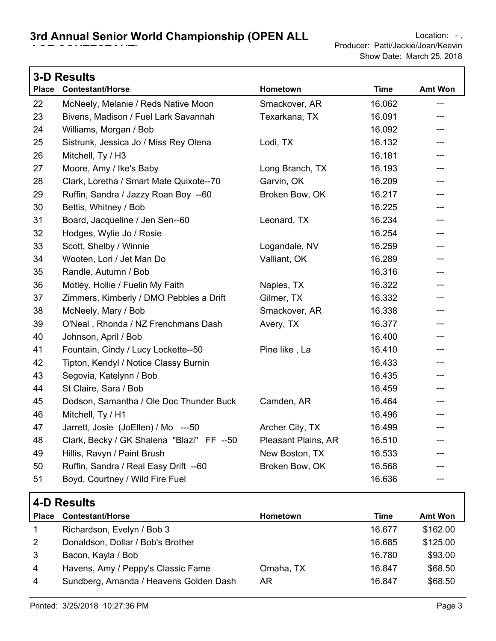|              | <b>3-D Results</b>                        |                     |             |                |  |  |
|--------------|-------------------------------------------|---------------------|-------------|----------------|--|--|
| <b>Place</b> | <b>Contestant/Horse</b>                   | Hometown            | <b>Time</b> | <b>Amt Won</b> |  |  |
| 22           | McNeely, Melanie / Reds Native Moon       | Smackover, AR       | 16.062      | ---            |  |  |
| 23           | Bivens, Madison / Fuel Lark Savannah      | Texarkana, TX       | 16.091      | ---            |  |  |
| 24           | Williams, Morgan / Bob                    |                     | 16.092      | ---            |  |  |
| 25           | Sistrunk, Jessica Jo / Miss Rey Olena     | Lodi, TX            | 16.132      | ---            |  |  |
| 26           | Mitchell, Ty / H3                         |                     | 16.181      | ---            |  |  |
| 27           | Moore, Amy / Ike's Baby                   | Long Branch, TX     | 16.193      | ---            |  |  |
| 28           | Clark, Loretha / Smart Mate Quixote--70   | Garvin, OK          | 16.209      | ---            |  |  |
| 29           | Ruffin, Sandra / Jazzy Roan Boy --60      | Broken Bow, OK      | 16.217      | ---            |  |  |
| 30           | Bettis, Whitney / Bob                     |                     | 16.225      | ---            |  |  |
| 31           | Board, Jacqueline / Jen Sen--60           | Leonard, TX         | 16.234      | ---            |  |  |
| 32           | Hodges, Wylie Jo / Rosie                  |                     | 16.254      | ---            |  |  |
| 33           | Scott, Shelby / Winnie                    | Logandale, NV       | 16.259      | ---            |  |  |
| 34           | Wooten, Lori / Jet Man Do                 | Valliant, OK        | 16.289      | ---            |  |  |
| 35           | Randle, Autumn / Bob                      |                     | 16.316      | ---            |  |  |
| 36           | Motley, Hollie / Fuelin My Faith          | Naples, TX          | 16.322      | ---            |  |  |
| 37           | Zimmers, Kimberly / DMO Pebbles a Drift   | Gilmer, TX          | 16.332      |                |  |  |
| 38           | McNeely, Mary / Bob                       | Smackover, AR       | 16.338      | ---            |  |  |
| 39           | O'Neal, Rhonda / NZ Frenchmans Dash       | Avery, TX           | 16.377      | ---            |  |  |
| 40           | Johnson, April / Bob                      |                     | 16.400      | ---            |  |  |
| 41           | Fountain, Cindy / Lucy Lockette--50       | Pine like, La       | 16.410      | ---            |  |  |
| 42           | Tipton, Kendyl / Notice Classy Burnin     |                     | 16.433      | ---            |  |  |
| 43           | Segovia, Katelynn / Bob                   |                     | 16.435      | ---            |  |  |
| 44           | St Claire, Sara / Bob                     |                     | 16.459      | ---            |  |  |
| 45           | Dodson, Samantha / Ole Doc Thunder Buck   | Camden, AR          | 16.464      | ---            |  |  |
| 46           | Mitchell, Ty / H1                         |                     | 16.496      | ---            |  |  |
| 47           | Jarrett, Josie (JoEllen) / Mo ---50       | Archer City, TX     | 16.499      | ---            |  |  |
| 48           | Clark, Becky / GK Shalena "Blazi" FF --50 | Pleasant Plains, AR | 16.510      | ---            |  |  |
| 49           | Hillis, Ravyn / Paint Brush               | New Boston, TX      | 16.533      | ---            |  |  |
| 50           | Ruffin, Sandra / Real Easy Drift --60     | Broken Bow, OK      | 16.568      | ---            |  |  |
| 51           | Boyd, Courtney / Wild Fire Fuel           |                     | 16.636      | ---            |  |  |

|                | T P INVOUILO                           |                 |        |                |  |
|----------------|----------------------------------------|-----------------|--------|----------------|--|
| <b>Place</b>   | <b>Contestant/Horse</b>                | <b>Hometown</b> | Time   | <b>Amt Won</b> |  |
|                | Richardson, Evelyn / Bob 3             |                 | 16.677 | \$162.00       |  |
| $\overline{2}$ | Donaldson, Dollar / Bob's Brother      |                 | 16.685 | \$125.00       |  |
| 3              | Bacon, Kayla / Bob                     |                 | 16.780 | \$93.00        |  |
| $\overline{4}$ | Havens, Amy / Peppy's Classic Fame     | Omaha, TX       | 16.847 | \$68.50        |  |
| $\overline{4}$ | Sundberg, Amanda / Heavens Golden Dash | AR              | 16.847 | \$68.50        |  |
|                |                                        |                 |        |                |  |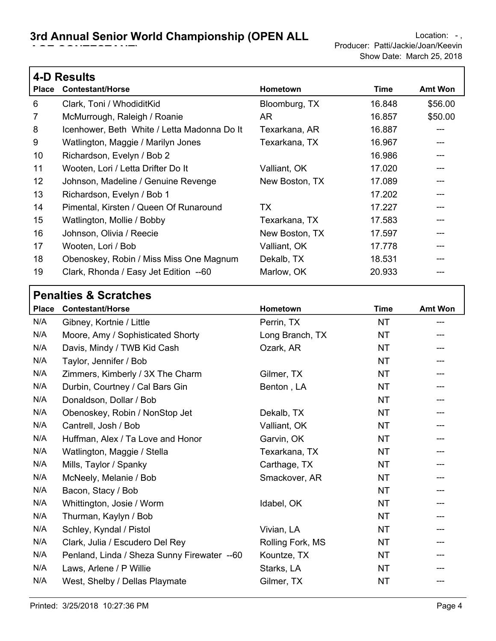## **3rd Annual Senior World Championship (OPEN ALL LOCATION: - LOCAtion: -,**

|              | <b>4-D Results</b>                          |                 |        |                |  |  |
|--------------|---------------------------------------------|-----------------|--------|----------------|--|--|
| <b>Place</b> | <b>Contestant/Horse</b>                     | <b>Hometown</b> | Time   | <b>Amt Won</b> |  |  |
| 6            | Clark, Toni / WhodiditKid                   | Bloomburg, TX   | 16.848 | \$56.00        |  |  |
| 7            | McMurrough, Raleigh / Roanie                | AR.             | 16.857 | \$50.00        |  |  |
| 8            | Icenhower, Beth White / Letta Madonna Do It | Texarkana, AR   | 16.887 |                |  |  |
| 9            | Watlington, Maggie / Marilyn Jones          | Texarkana, TX   | 16.967 |                |  |  |
| 10           | Richardson, Evelyn / Bob 2                  |                 | 16.986 |                |  |  |
| 11           | Wooten, Lori / Letta Drifter Do It          | Valliant, OK    | 17.020 |                |  |  |
| 12           | Johnson, Madeline / Genuine Revenge         | New Boston, TX  | 17.089 |                |  |  |
| 13           | Richardson, Evelyn / Bob 1                  |                 | 17.202 |                |  |  |
| 14           | Pimental, Kirsten / Queen Of Runaround      | <b>TX</b>       | 17.227 |                |  |  |
| 15           | Watlington, Mollie / Bobby                  | Texarkana, TX   | 17.583 |                |  |  |
| 16           | Johnson, Olivia / Reecie                    | New Boston, TX  | 17.597 |                |  |  |
| 17           | Wooten, Lori / Bob                          | Valliant, OK    | 17.778 |                |  |  |
| 18           | Obenoskey, Robin / Miss Miss One Magnum     | Dekalb, TX      | 18.531 |                |  |  |
| 19           | Clark, Rhonda / Easy Jet Edition --60       | Marlow, OK      | 20.933 |                |  |  |
|              |                                             |                 |        |                |  |  |

### **Place Contestant/Horse Hometown Time Amt Won Penalties & Scratches** N/A Gibney, Kortnie / Little **Perrin, TX** NT ---N/A Moore, Amy / Sophisticated Shorty Long Branch, TX NT ---N/A Davis, Mindy / TWB Kid Cash Czark, AR Ozark, AR N/A Taylor, Jennifer / Bob  $NT$ N/A Zimmers, Kimberly / 3X The Charm Gilmer, TX 61 MT N/A Durbin, Courtney / Cal Bars Gin Benton, LA Benton , LA N/A Donaldson, Dollar / Bob NT --- N/A Obenoskey, Robin / NonStop Jet Dekalb, TX NT N/A Cantrell, Josh / Bob Valliant, OK Valliant, OK N/A Huffman, Alex / Ta Love and Honor Garvin, OK 69 MT N/A Watlington, Maggie / Stella Texarkana, TX NT N/A Mills, Taylor / Spanky Carthage, TX NT N/A McNeely, Melanie / Bob Smackover, AR NT N/A Bacon, Stacy / Bob NT N/A Whittington, Josie / Worm Idabel, OK NT N/A Thurman, Kaylyn / Bob NT --- N/A Schley, Kyndal / Pistol Vivian, LA Vivian, LA N/A Clark, Julia / Escudero Del Rey **Rolling Fork, MS** NT N/A Penland, Linda / Sheza Sunny Firewater --60 Kountze, TX ---------------------N/A Laws, Arlene / P Willie New Starks, LA NT N/A West, Shelby / Dellas Playmate Gilmer, TX Gilmer, TX